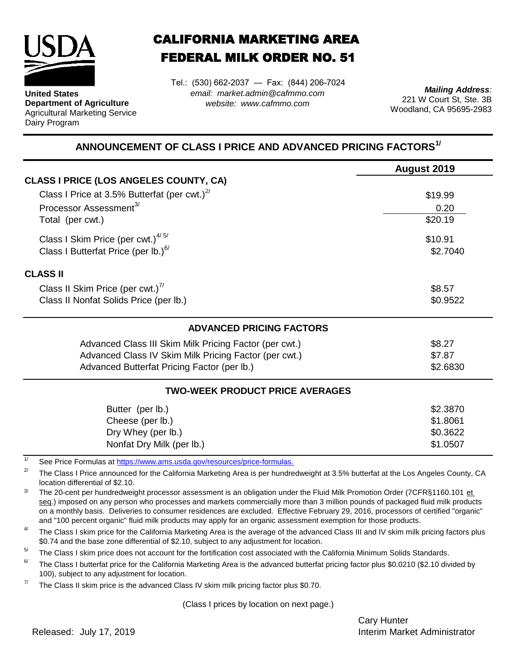

**United States Department of Agriculture** Agricultural Marketing Service Dairy Program

## CALIFORNIA MARKETING AREA FEDERAL MILK ORDER NO. 51

*email: market.admin@cafmmo.com website: www.cafmmo.com* Tel.: (530) 662-2037 — Fax: (844) 206-7024

*Mailing Address:* 221 W Court St, Ste. 3B Woodland, CA 95695-2983

## **ANNOUNCEMENT OF CLASS I PRICE AND ADVANCED PRICING FACTORS1/**

|                                                                                | August 2019 |  |  |  |
|--------------------------------------------------------------------------------|-------------|--|--|--|
| <b>CLASS I PRICE (LOS ANGELES COUNTY, CA)</b>                                  |             |  |  |  |
| Class I Price at 3.5% Butterfat (per cwt.) $2^7$                               | \$19.99     |  |  |  |
| Processor Assessment <sup>3/</sup><br>0.20                                     |             |  |  |  |
| Total (per cwt.)                                                               | \$20.19     |  |  |  |
| Class I Skim Price (per cwt.) $4/5/$                                           | \$10.91     |  |  |  |
| Class I Butterfat Price (per lb.) <sup>6/</sup>                                | \$2.7040    |  |  |  |
| <b>CLASS II</b>                                                                |             |  |  |  |
| Class II Skim Price (per cwt.) $^{7/}$                                         | \$8.57      |  |  |  |
| Class II Nonfat Solids Price (per lb.)                                         | \$0.9522    |  |  |  |
| <b>ADVANCED PRICING FACTORS</b>                                                |             |  |  |  |
| Advanced Class III Skim Milk Pricing Factor (per cwt.)                         | \$8.27      |  |  |  |
| Advanced Class IV Skim Milk Pricing Factor (per cwt.)                          | \$7.87      |  |  |  |
| Advanced Butterfat Pricing Factor (per lb.)                                    | \$2.6830    |  |  |  |
| <b>TWO-WEEK PRODUCT PRICE AVERAGES</b>                                         |             |  |  |  |
| Butter (per lb.)                                                               | \$2.3870    |  |  |  |
| Cheese (per lb.)                                                               | \$1.8061    |  |  |  |
| Dry Whey (per lb.)                                                             | \$0.3622    |  |  |  |
| Nonfat Dry Milk (per lb.)                                                      | \$1.0507    |  |  |  |
| 1/<br>See Price Formulas at https://www.ams.usda.gov/resources/price-formulas. |             |  |  |  |

2/ The Class I Price announced for the California Marketing Area is per hundredweight at 3.5% butterfat at the Los Angeles County, CA location differential of \$2.10.

3/ The 20-cent per hundredweight processor assessment is an obligation under the Fluid Milk Promotion Order (7CFR§1160.101 et seg.) imposed on any person who processes and markets commercially more than 3 million pounds of packaged fluid milk products on a monthly basis. Deliveries to consumer residences are excluded. Effective February 29, 2016, processors of certified "organic" and "100 percent organic" fluid milk products may apply for an organic assessment exemption for those products.

4/ The Class I skim price for the California Marketing Area is the average of the advanced Class III and IV skim milk pricing factors plus \$0.74 and the base zone differential of \$2.10, subject to any adjustment for location.

 $5/$ The Class I skim price does not account for the fortification cost associated with the California Minimum Solids Standards.

6/ The Class I butterfat price for the California Marketing Area is the advanced butterfat pricing factor plus \$0.0210 (\$2.10 divided by 100), subject to any adjustment for location.

7/ The Class II skim price is the advanced Class IV skim milk pricing factor plus \$0.70.

(Class I prices by location on next page.)